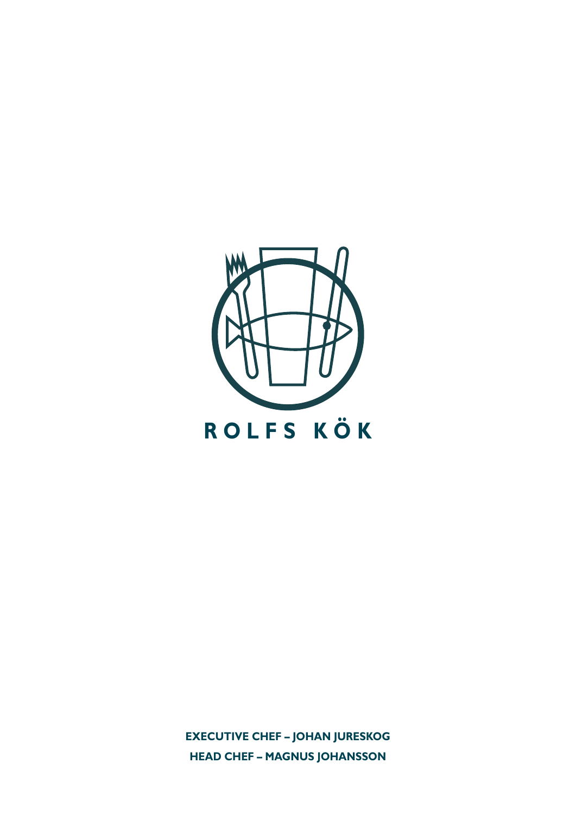

**EXECUTIVE CHEF - JOHAN JURESKOG HEAD CHEF - MAGNUS JOHANSSON**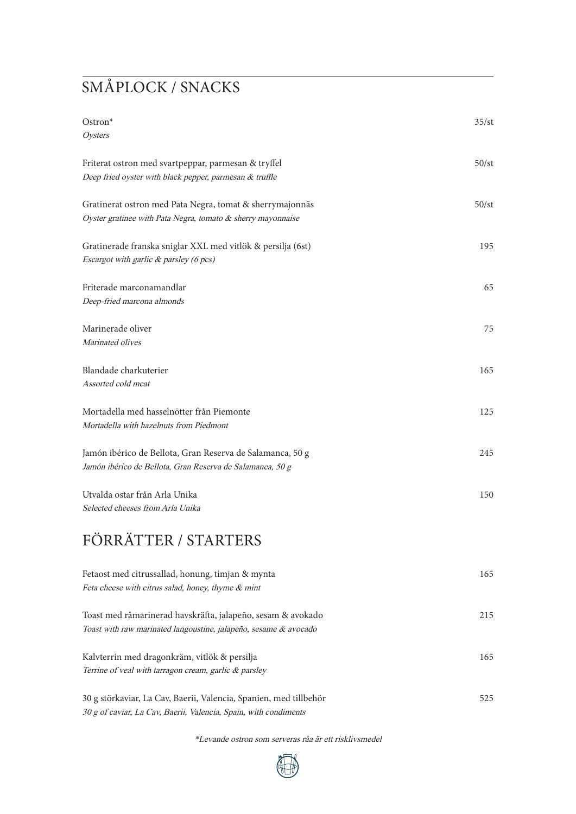## SMÅPLOCK / SNACKS

| Ostron*<br>Oysters                                                                                                              | 35/st |
|---------------------------------------------------------------------------------------------------------------------------------|-------|
| Friterat ostron med svartpeppar, parmesan & tryffel<br>Deep fried oyster with black pepper, parmesan & truffle                  | 50/st |
| Gratinerat ostron med Pata Negra, tomat & sherrymajonnäs<br>Oyster gratinee with Pata Negra, tomato & sherry mayonnaise         | 50/st |
| Gratinerade franska sniglar XXL med vitlök & persilja (6st)<br>Escargot with garlic & parsley (6 pcs)                           | 195   |
| Friterade marconamandlar<br>Deep-fried marcona almonds                                                                          | 65    |
| Marinerade oliver<br>Marinated olives                                                                                           | 75    |
| Blandade charkuterier<br>Assorted cold meat                                                                                     | 165   |
| Mortadella med hasselnötter från Piemonte<br>Mortadella with hazelnuts from Piedmont                                            | 125   |
| Jamón ibérico de Bellota, Gran Reserva de Salamanca, 50 g<br>Jamón ibérico de Bellota, Gran Reserva de Salamanca, 50 g          | 245   |
| Utvalda ostar från Arla Unika<br>Selected cheeses from Arla Unika                                                               | 150   |
| FÖRRÄTTER / STARTERS                                                                                                            |       |
| Fetaost med citrussallad, honung, timjan & mynta<br>Feta cheese with citrus salad, honey, thyme & mint                          | 165   |
| Toast med råmarinerad havskräfta, jalapeño, sesam & avokado<br>Toast with raw marinated langoustine, jalapeño, sesame & avocado | 215   |
| Kalvterrin med dragonkräm, vitlök & persilja                                                                                    | 165   |

30 g störkaviar, La Cav, Baerii, Valencia, Spanien, med tillbehör 525 30 g of caviar, La Cav, Baerii, Valencia, Spain, with condiments

Terrine of veal with tarragon cream, garlic & parsley

\*Levande ostron som serveras råa är ett risklivsmedel

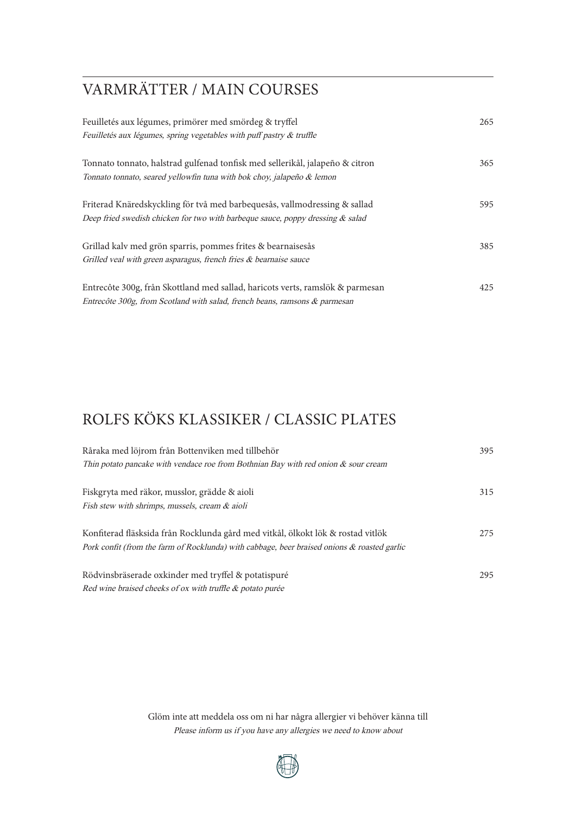## VARMRÄTTER / MAIN COURSES

| Feuilletés aux légumes, primörer med smördeg & tryffel<br>Feuilletés aux légumes, spring vegetables with puff pastry & truffle | 265 |
|--------------------------------------------------------------------------------------------------------------------------------|-----|
| Tonnato tonnato, halstrad gulfenad tonfisk med sellerikål, jalapeño & citron                                                   | 365 |
| Tonnato tonnato, seared yellowfin tuna with bok choy, jalapeño & lemon                                                         |     |
| Friterad Knäredskyckling för två med barbequesås, vallmodressing & sallad                                                      | 595 |
| Deep fried swedish chicken for two with barbeque sauce, poppy dressing & salad                                                 |     |
| Grillad kalv med grön sparris, pommes frites & bearnaisesås                                                                    | 385 |
| Grilled veal with green asparagus, french fries & bearnaise sauce                                                              |     |
| Entrecôte 300g, från Skottland med sallad, haricots verts, ramslök & parmesan                                                  | 425 |
| Entrecôte 300g, from Scotland with salad, french beans, ramsons & parmesan                                                     |     |

## ROLFS KÖKS KLASSIKER / CLASSIC PLATES

| Råraka med löjrom från Bottenviken med tillbehör                                            | 395 |
|---------------------------------------------------------------------------------------------|-----|
| Thin potato pancake with vendace roe from Bothnian Bay with red onion $\&$ sour cream       |     |
|                                                                                             | 315 |
| Fiskgryta med räkor, musslor, grädde & aioli                                                |     |
| Fish stew with shrimps, mussels, cream & aioli                                              |     |
|                                                                                             |     |
| Konfiterad fläsksida från Rocklunda gård med vitkål, ölkokt lök & rostad vitlök             | 275 |
| Pork confit (from the farm of Rocklunda) with cabbage, beer braised onions & roasted garlic |     |
|                                                                                             |     |
| Rödvinsbräserade oxkinder med tryffel & potatispuré                                         | 295 |
| Red wine braised cheeks of ox with truffle & potato purée                                   |     |

Glöm inte att meddela oss om ni har några allergier vi behöver känna till Please inform us if you have any allergies we need to know about